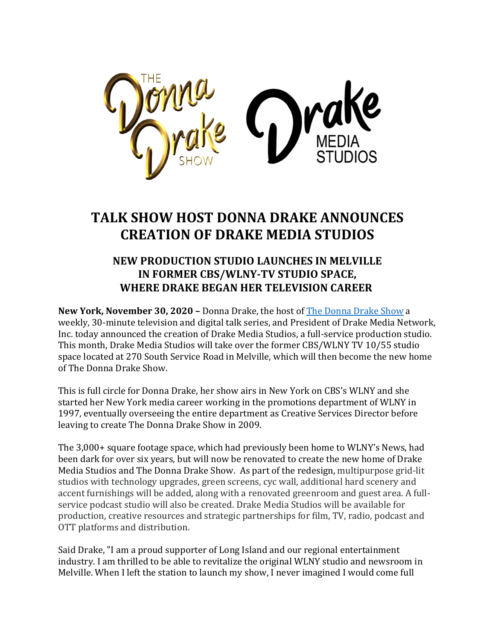

## **TALK SHOW HOST DONNA DRAKE ANNOUNCES CREATION OF DRAKE MEDIA STUDIOS**

## **NEW PRODUCTION STUDIO LAUNCHES IN MELVILLE IN FORMER CBS/WLNY-TV STUDIO SPACE, WHERE DRAKE BEGAN HER TELEVISION CAREER**

**New York, November 30, 2020 - Donna Drake, the host of The Donna Drake Show a** weekly, 30-minute television and digital talk series, and President of Drake Media Network, Inc. today announced the creation of Drake Media Studios, a full-service production studio. This month, Drake Media Studios will take over the former CBS/WLNY TV 10/55 studio space located at 270 South Service Road in Melville, which will then become the new home of The Donna Drake Show.

This is full circle for Donna Drake, her show airs in New York on CBS's WLNY and she started her New York media career working in the promotions department of WLNY in 1997, eventually overseeing the entire department as Creative Services Director before leaving to create The Donna Drake Show in 2009.

The 3,000+ square footage space, which had previously been home to WLNY's News, had been dark for over six years, but will now be renovated to create the new home of Drake Media Studios and The Donna Drake Show. As part of the redesign, multipurpose grid-lit studios with technology upgrades, green screens, cyc wall, additional hard scenery and accent furnishings will be added, along with a renovated greenroom and guest area. A fullservice podcast studio will also be created. Drake Media Studios will be available for production, creative resources and strategic partnerships for film, TV, radio, podcast and OTT platforms and distribution.

Said Drake, "I am a proud supporter of Long Island and our regional entertainment industry. I am thrilled to be able to revitalize the original WLNY studio and newsroom in Melville. When I left the station to launch my show, I never imagined I would come full